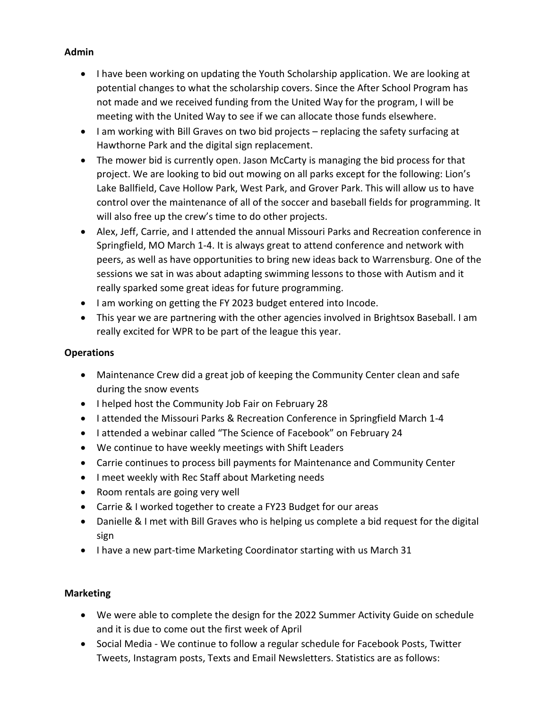## **Admin**

- I have been working on updating the Youth Scholarship application. We are looking at potential changes to what the scholarship covers. Since the After School Program has not made and we received funding from the United Way for the program, I will be meeting with the United Way to see if we can allocate those funds elsewhere.
- I am working with Bill Graves on two bid projects replacing the safety surfacing at Hawthorne Park and the digital sign replacement.
- The mower bid is currently open. Jason McCarty is managing the bid process for that project. We are looking to bid out mowing on all parks except for the following: Lion's Lake Ballfield, Cave Hollow Park, West Park, and Grover Park. This will allow us to have control over the maintenance of all of the soccer and baseball fields for programming. It will also free up the crew's time to do other projects.
- Alex, Jeff, Carrie, and I attended the annual Missouri Parks and Recreation conference in Springfield, MO March 1-4. It is always great to attend conference and network with peers, as well as have opportunities to bring new ideas back to Warrensburg. One of the sessions we sat in was about adapting swimming lessons to those with Autism and it really sparked some great ideas for future programming.
- I am working on getting the FY 2023 budget entered into Incode.
- This year we are partnering with the other agencies involved in Brightsox Baseball. I am really excited for WPR to be part of the league this year.

## **Operations**

- Maintenance Crew did a great job of keeping the Community Center clean and safe during the snow events
- I helped host the Community Job Fair on February 28
- I attended the Missouri Parks & Recreation Conference in Springfield March 1-4
- I attended a webinar called "The Science of Facebook" on February 24
- We continue to have weekly meetings with Shift Leaders
- Carrie continues to process bill payments for Maintenance and Community Center
- I meet weekly with Rec Staff about Marketing needs
- Room rentals are going very well
- Carrie & I worked together to create a FY23 Budget for our areas
- Danielle & I met with Bill Graves who is helping us complete a bid request for the digital sign
- I have a new part-time Marketing Coordinator starting with us March 31

# **Marketing**

- We were able to complete the design for the 2022 Summer Activity Guide on schedule and it is due to come out the first week of April
- Social Media We continue to follow a regular schedule for Facebook Posts, Twitter Tweets, Instagram posts, Texts and Email Newsletters. Statistics are as follows: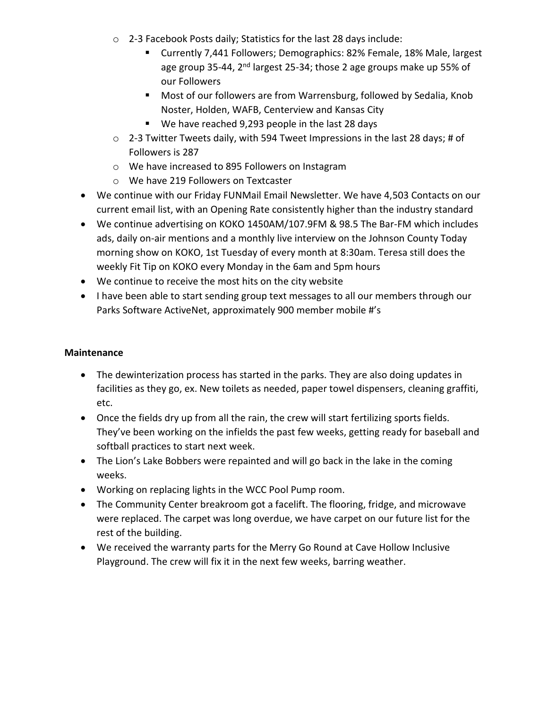- o 2-3 Facebook Posts daily; Statistics for the last 28 days include:
	- Currently 7,441 Followers; Demographics: 82% Female, 18% Male, largest age group 35-44, 2<sup>nd</sup> largest 25-34; those 2 age groups make up 55% of our Followers
	- Most of our followers are from Warrensburg, followed by Sedalia, Knob Noster, Holden, WAFB, Centerview and Kansas City
	- We have reached 9,293 people in the last 28 days
- o 2-3 Twitter Tweets daily, with 594 Tweet Impressions in the last 28 days; # of Followers is 287
- o We have increased to 895 Followers on Instagram
- o We have 219 Followers on Textcaster
- We continue with our Friday FUNMail Email Newsletter. We have 4,503 Contacts on our current email list, with an Opening Rate consistently higher than the industry standard
- We continue advertising on KOKO 1450AM/107.9FM & 98.5 The Bar-FM which includes ads, daily on-air mentions and a monthly live interview on the Johnson County Today morning show on KOKO, 1st Tuesday of every month at 8:30am. Teresa still does the weekly Fit Tip on KOKO every Monday in the 6am and 5pm hours
- We continue to receive the most hits on the city website
- I have been able to start sending group text messages to all our members through our Parks Software ActiveNet, approximately 900 member mobile #'s

## **Maintenance**

- The dewinterization process has started in the parks. They are also doing updates in facilities as they go, ex. New toilets as needed, paper towel dispensers, cleaning graffiti, etc.
- Once the fields dry up from all the rain, the crew will start fertilizing sports fields. They've been working on the infields the past few weeks, getting ready for baseball and softball practices to start next week.
- The Lion's Lake Bobbers were repainted and will go back in the lake in the coming weeks.
- Working on replacing lights in the WCC Pool Pump room.
- The Community Center breakroom got a facelift. The flooring, fridge, and microwave were replaced. The carpet was long overdue, we have carpet on our future list for the rest of the building.
- We received the warranty parts for the Merry Go Round at Cave Hollow Inclusive Playground. The crew will fix it in the next few weeks, barring weather.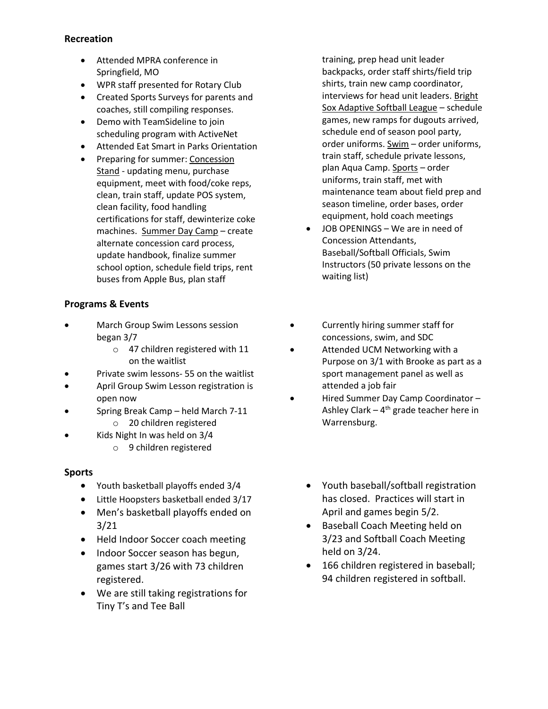#### **Recreation**

- Attended MPRA conference in Springfield, MO
- WPR staff presented for Rotary Club
- Created Sports Surveys for parents and coaches, still compiling responses.
- Demo with TeamSideline to join scheduling program with ActiveNet
- Attended Eat Smart in Parks Orientation
- Preparing for summer: Concession Stand - updating menu, purchase equipment, meet with food/coke reps, clean, train staff, update POS system, clean facility, food handling certifications for staff, dewinterize coke machines. Summer Day Camp – create alternate concession card process, update handbook, finalize summer school option, schedule field trips, rent buses from Apple Bus, plan staff

## **Programs & Events**

- March Group Swim Lessons session began 3/7
	- o 47 children registered with 11 on the waitlist
- Private swim lessons- 55 on the waitlist
- April Group Swim Lesson registration is open now
	- Spring Break Camp held March 7-11 o 20 children registered
- Kids Night In was held on 3/4
	- o 9 children registered

#### **Sports**

- Youth basketball playoffs ended 3/4
- Little Hoopsters basketball ended 3/17
- Men's basketball playoffs ended on 3/21
- Held Indoor Soccer coach meeting
- Indoor Soccer season has begun, games start 3/26 with 73 children registered.
- We are still taking registrations for Tiny T's and Tee Ball

training, prep head unit leader backpacks, order staff shirts/field trip shirts, train new camp coordinator, interviews for head unit leaders. Bright Sox Adaptive Softball League – schedule games, new ramps for dugouts arrived, schedule end of season pool party, order uniforms. Swim – order uniforms, train staff, schedule private lessons, plan Aqua Camp. Sports – order uniforms, train staff, met with maintenance team about field prep and season timeline, order bases, order equipment, hold coach meetings

- JOB OPENINGS We are in need of Concession Attendants, Baseball/Softball Officials, Swim Instructors (50 private lessons on the waiting list)
- Currently hiring summer staff for concessions, swim, and SDC
- Attended UCM Networking with a Purpose on 3/1 with Brooke as part as a sport management panel as well as attended a job fair
- Hired Summer Day Camp Coordinator Ashley Clark – 4<sup>th</sup> grade teacher here in Warrensburg.
	- Youth baseball/softball registration has closed. Practices will start in April and games begin 5/2.
	- Baseball Coach Meeting held on 3/23 and Softball Coach Meeting held on 3/24.
	- 166 children registered in baseball; 94 children registered in softball.